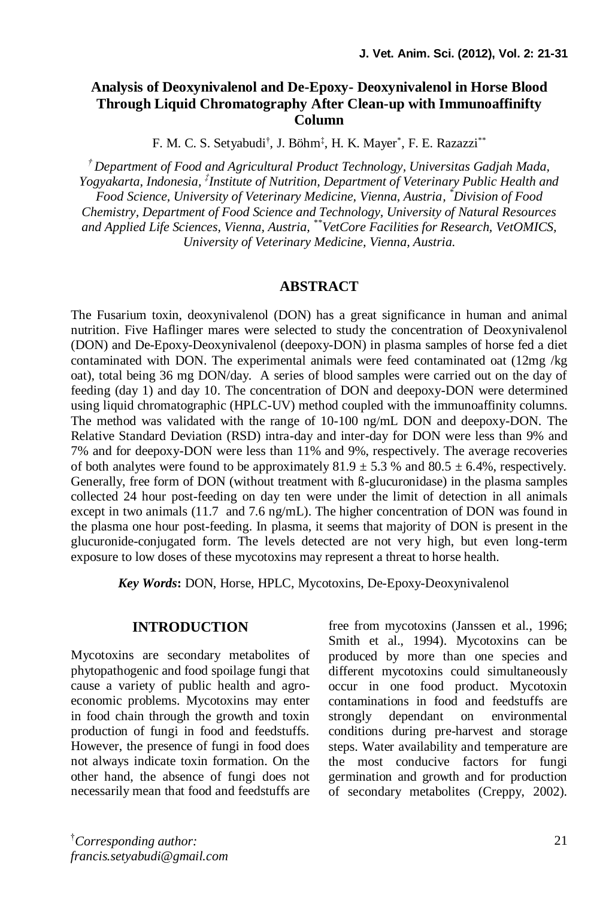## **Analysis of Deoxynivalenol and De-Epoxy- Deoxynivalenol in Horse Blood Through Liquid Chromatography After Clean-up with Immunoaffinifty Column**

F. M. C. S. Setyabudi<sup>†</sup>, J. Böhm<sup>‡</sup>, H. K. Mayer<sup>\*</sup>, F. E. Razazzi<sup>\*\*</sup>

*† Department of Food and Agricultural Product Technology, Universitas Gadjah Mada, Yogyakarta, Indonesia, ‡ Institute of Nutrition, Department of Veterinary Public Health and Food Science, University of Veterinary Medicine, Vienna, Austria, \*Division of Food Chemistry, Department of Food Science and Technology, University of Natural Resources and Applied Life Sciences, Vienna, Austria, \*\*VetCore Facilities for Research, VetOMICS, University of Veterinary Medicine, Vienna, Austria.*

#### **ABSTRACT**

The Fusarium toxin, deoxynivalenol (DON) has a great significance in human and animal nutrition. Five Haflinger mares were selected to study the concentration of Deoxynivalenol (DON) and De-Epoxy-Deoxynivalenol (deepoxy-DON) in plasma samples of horse fed a diet contaminated with DON. The experimental animals were feed contaminated oat (12mg /kg oat), total being 36 mg DON/day. A series of blood samples were carried out on the day of feeding (day 1) and day 10. The concentration of DON and deepoxy-DON were determined using liquid chromatographic (HPLC-UV) method coupled with the immunoaffinity columns. The method was validated with the range of 10-100 ng/mL DON and deepoxy-DON. The Relative Standard Deviation (RSD) intra-day and inter-day for DON were less than 9% and 7% and for deepoxy-DON were less than 11% and 9%, respectively. The average recoveries of both analytes were found to be approximately  $81.9 \pm 5.3$  % and  $80.5 \pm 6.4$ %, respectively. Generally, free form of DON (without treatment with ß-glucuronidase) in the plasma samples collected 24 hour post-feeding on day ten were under the limit of detection in all animals except in two animals (11.7 and 7.6 ng/mL). The higher concentration of DON was found in the plasma one hour post-feeding. In plasma, it seems that majority of DON is present in the glucuronide-conjugated form. The levels detected are not very high, but even long-term exposure to low doses of these mycotoxins may represent a threat to horse health.

*Key Words***:** DON, Horse, HPLC, Mycotoxins, De-Epoxy-Deoxynivalenol

#### **INTRODUCTION**

Mycotoxins are secondary metabolites of phytopathogenic and food spoilage fungi that cause a variety of public health and agroeconomic problems. Mycotoxins may enter in food chain through the growth and toxin production of fungi in food and feedstuffs. However, the presence of fungi in food does not always indicate toxin formation. On the other hand, the absence of fungi does not necessarily mean that food and feedstuffs are free from mycotoxins (Janssen et al., 1996; Smith et al., 1994). Mycotoxins can be produced by more than one species and different mycotoxins could simultaneously occur in one food product. Mycotoxin contaminations in food and feedstuffs are strongly dependant on environmental conditions during pre-harvest and storage steps. Water availability and temperature are the most conducive factors for fungi germination and growth and for production of secondary metabolites (Creppy, 2002).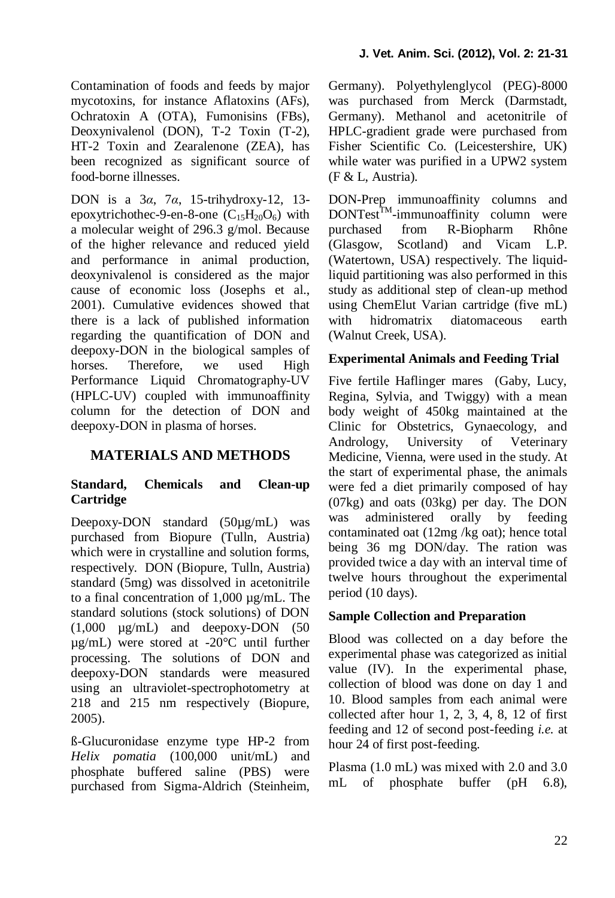Contamination of foods and feeds by major mycotoxins, for instance Aflatoxins (AFs), Ochratoxin A (OTA), Fumonisins (FBs), Deoxynivalenol (DON), T-2 Toxin (T-2), HT-2 Toxin and Zearalenone (ZEA), has been recognized as significant source of food-borne illnesses.

DON is a 3*α*, 7*α*, 15-trihydroxy-12, 13 epoxytrichothec-9-en-8-one  $(C_{15}H_{20}O_6)$  with a molecular weight of 296.3 g/mol. Because of the higher relevance and reduced yield and performance in animal production, deoxynivalenol is considered as the major cause of economic loss (Josephs et al., 2001). Cumulative evidences showed that there is a lack of published information regarding the quantification of DON and deepoxy-DON in the biological samples of horses. Therefore, we used High Performance Liquid Chromatography-UV (HPLC-UV) coupled with immunoaffinity column for the detection of DON and deepoxy-DON in plasma of horses.

# **MATERIALS AND METHODS**

## **Standard, Chemicals and Clean-up Cartridge**

Deepoxy-DON standard (50µg/mL) was purchased from Biopure (Tulln, Austria) which were in crystalline and solution forms, respectively. DON (Biopure, Tulln, Austria) standard (5mg) was dissolved in acetonitrile to a final concentration of 1,000 µg/mL. The standard solutions (stock solutions) of DON (1,000 µg/mL) and deepoxy-DON (50 µg/mL) were stored at -20°C until further processing. The solutions of DON and deepoxy-DON standards were measured using an ultraviolet-spectrophotometry at 218 and 215 nm respectively (Biopure, 2005).

ß-Glucuronidase enzyme type HP-2 from *Helix pomatia* (100,000 unit/mL) and phosphate buffered saline (PBS) were purchased from Sigma-Aldrich (Steinheim, Germany). Polyethylenglycol (PEG)-8000 was purchased from Merck (Darmstadt, Germany). Methanol and acetonitrile of HPLC-gradient grade were purchased from Fisher Scientific Co. (Leicestershire, UK) while water was purified in a UPW2 system (F & L, Austria).

DON-Prep immunoaffinity columns and DONTest<sup>™</sup>-immunoaffinity column were purchased from R-Biopharm Rhône (Glasgow, Scotland) and Vicam L.P. (Watertown, USA) respectively. The liquidliquid partitioning was also performed in this study as additional step of clean-up method using ChemElut Varian cartridge (five mL) with hidromatrix diatomaceous earth (Walnut Creek, USA).

#### **Experimental Animals and Feeding Trial**

Five fertile Haflinger mares (Gaby, Lucy, Regina, Sylvia, and Twiggy) with a mean body weight of 450kg maintained at the Clinic for Obstetrics, Gynaecology, and Andrology, University of Veterinary Medicine, Vienna, were used in the study. At the start of experimental phase, the animals were fed a diet primarily composed of hay (07kg) and oats (03kg) per day. The DON was administered orally by feeding contaminated oat (12mg /kg oat); hence total being 36 mg DON/day. The ration was provided twice a day with an interval time of twelve hours throughout the experimental period (10 days).

## **Sample Collection and Preparation**

Blood was collected on a day before the experimental phase was categorized as initial value (IV). In the experimental phase, collection of blood was done on day 1 and 10. Blood samples from each animal were collected after hour 1, 2, 3, 4, 8, 12 of first feeding and 12 of second post-feeding *i.e.* at hour 24 of first post-feeding.

Plasma (1.0 mL) was mixed with 2.0 and 3.0 mL of phosphate buffer (pH 6.8),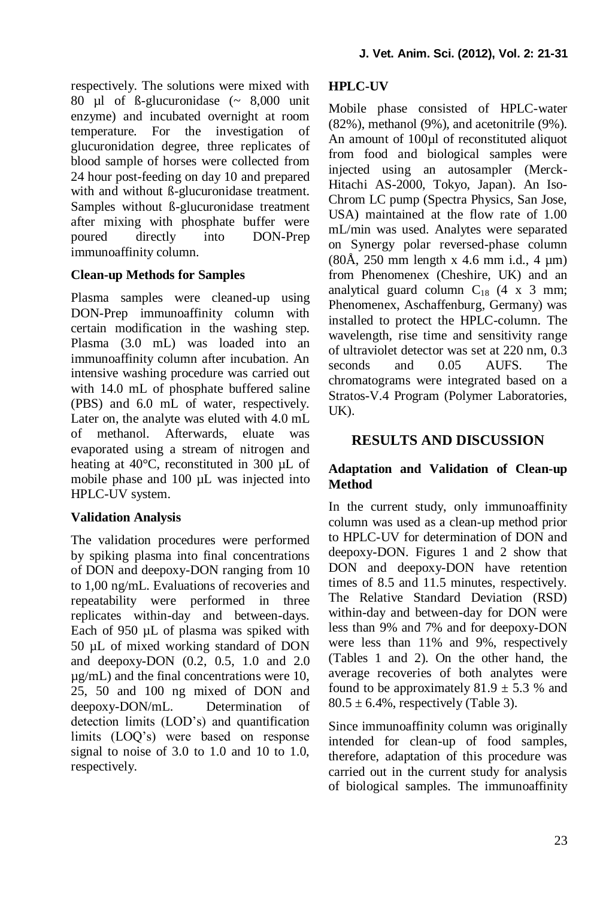respectively. The solutions were mixed with 80 µl of ß-glucuronidase (~ 8,000 unit enzyme) and incubated overnight at room temperature. For the investigation of glucuronidation degree, three replicates of blood sample of horses were collected from 24 hour post-feeding on day 10 and prepared with and without ß-glucuronidase treatment. Samples without ß-glucuronidase treatment after mixing with phosphate buffer were poured directly into DON-Prep immunoaffinity column.

## **Clean-up Methods for Samples**

Plasma samples were cleaned-up using DON-Prep immunoaffinity column with certain modification in the washing step. Plasma (3.0 mL) was loaded into an immunoaffinity column after incubation. An intensive washing procedure was carried out with 14.0 mL of phosphate buffered saline (PBS) and 6.0 mL of water, respectively. Later on, the analyte was eluted with 4.0 mL of methanol. Afterwards, eluate was evaporated using a stream of nitrogen and heating at 40°C, reconstituted in 300 µL of mobile phase and 100 µL was injected into HPLC-UV system.

#### **Validation Analysis**

The validation procedures were performed by spiking plasma into final concentrations of DON and deepoxy-DON ranging from 10 to 1,00 ng/mL. Evaluations of recoveries and repeatability were performed in three replicates within-day and between-days. Each of 950 µL of plasma was spiked with 50 µL of mixed working standard of DON and deepoxy-DON (0.2, 0.5, 1.0 and 2.0 µg/mL) and the final concentrations were 10, 25, 50 and 100 ng mixed of DON and deepoxy-DON/mL. Determination of detection limits (LOD's) and quantification limits (LOQ's) were based on response signal to noise of 3.0 to 1.0 and 10 to 1.0, respectively.

## **HPLC-UV**

Mobile phase consisted of HPLC-water (82%), methanol (9%), and acetonitrile (9%). An amount of 100µl of reconstituted aliquot from food and biological samples were injected using an autosampler (Merck-Hitachi AS-2000, Tokyo, Japan). An Iso-Chrom LC pump (Spectra Physics, San Jose, USA) maintained at the flow rate of 1.00 mL/min was used. Analytes were separated on Synergy polar reversed-phase column  $(80\text{\AA}, 250 \text{ mm} \text{ length x } 4.6 \text{ mm i.d., 4 \mu m})$ from Phenomenex (Cheshire, UK) and an analytical guard column  $C_{18}$  (4 x 3 mm; Phenomenex, Aschaffenburg, Germany) was installed to protect the HPLC-column. The wavelength, rise time and sensitivity range of ultraviolet detector was set at 220 nm, 0.3<br>seconds and 0.05 AUFS. The seconds and  $0.05$ chromatograms were integrated based on a Stratos-V.4 Program (Polymer Laboratories, UK).

## **RESULTS AND DISCUSSION**

## **Adaptation and Validation of Clean-up Method**

In the current study, only immunoaffinity column was used as a clean-up method prior to HPLC-UV for determination of DON and deepoxy-DON. Figures 1 and 2 show that DON and deepoxy-DON have retention times of 8.5 and 11.5 minutes, respectively. The Relative Standard Deviation (RSD) within-day and between-day for DON were less than 9% and 7% and for deepoxy-DON were less than 11% and 9%, respectively (Tables 1 and 2). On the other hand, the average recoveries of both analytes were found to be approximately  $81.9 \pm 5.3$  % and  $80.5 \pm 6.4\%$ , respectively (Table 3).

Since immunoaffinity column was originally intended for clean-up of food samples, therefore, adaptation of this procedure was carried out in the current study for analysis of biological samples. The immunoaffinity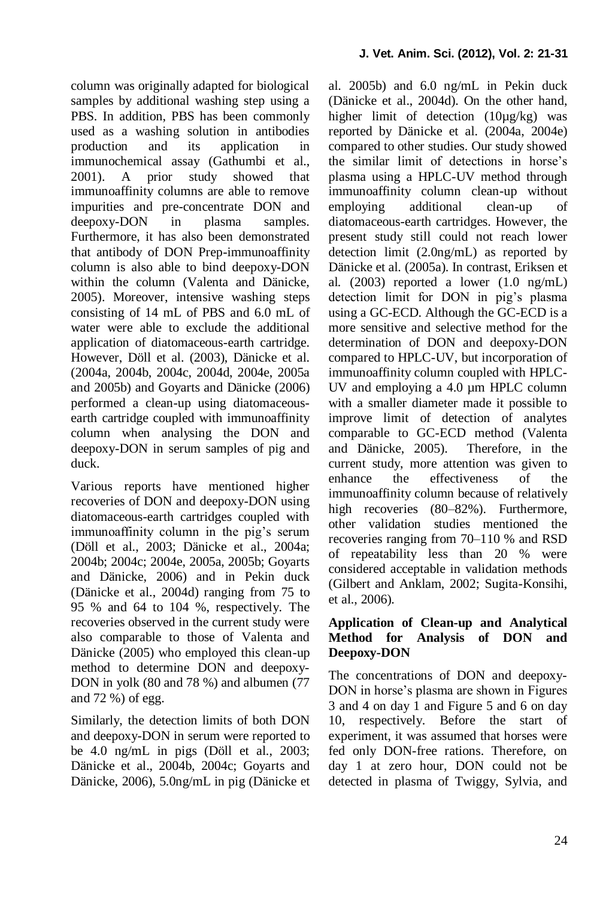column was originally adapted for biological samples by additional washing step using a PBS. In addition, PBS has been commonly used as a washing solution in antibodies production and its application in immunochemical assay (Gathumbi et al., 2001). A prior study showed that immunoaffinity columns are able to remove impurities and pre-concentrate DON and deepoxy-DON in plasma samples. Furthermore, it has also been demonstrated that antibody of DON Prep-immunoaffinity column is also able to bind deepoxy-DON within the column (Valenta and Dänicke, 2005). Moreover, intensive washing steps consisting of 14 mL of PBS and 6.0 mL of water were able to exclude the additional application of diatomaceous-earth cartridge. However, Döll et al. (2003), Dänicke et al. (2004a, 2004b, 2004c, 2004d, 2004e, 2005a and 2005b) and Goyarts and Dänicke (2006) performed a clean-up using diatomaceousearth cartridge coupled with immunoaffinity column when analysing the DON and deepoxy-DON in serum samples of pig and duck.

Various reports have mentioned higher recoveries of DON and deepoxy-DON using diatomaceous-earth cartridges coupled with immunoaffinity column in the pig's serum (Döll et al., 2003; Dänicke et al., 2004a; 2004b; 2004c; 2004e, 2005a, 2005b; Goyarts and Dänicke, 2006) and in Pekin duck (Dänicke et al., 2004d) ranging from 75 to 95 % and 64 to 104 %, respectively. The recoveries observed in the current study were also comparable to those of Valenta and Dänicke (2005) who employed this clean-up method to determine DON and deepoxy-DON in yolk (80 and 78 %) and albumen (77 and 72 %) of egg.

Similarly, the detection limits of both DON and deepoxy-DON in serum were reported to be 4.0 ng/mL in pigs (Döll et al., 2003; Dänicke et al., 2004b, 2004c; Goyarts and Dänicke, 2006), 5.0ng/mL in pig (Dänicke et al. 2005b) and 6.0 ng/mL in Pekin duck (Dänicke et al., 2004d). On the other hand, higher limit of detection (10µg/kg) was reported by Dänicke et al*.* (2004a, 2004e) compared to other studies. Our study showed the similar limit of detections in horse's plasma using a HPLC-UV method through immunoaffinity column clean-up without employing additional clean-up diatomaceous-earth cartridges. However, the present study still could not reach lower detection limit (2.0ng/mL) as reported by Dänicke et al. (2005a). In contrast, Eriksen et al*.* (2003) reported a lower (1.0 ng/mL) detection limit for DON in pig's plasma using a GC-ECD. Although the GC-ECD is a more sensitive and selective method for the determination of DON and deepoxy-DON compared to HPLC-UV, but incorporation of immunoaffinity column coupled with HPLC-UV and employing a 4.0  $\mu$ m HPLC column with a smaller diameter made it possible to improve limit of detection of analytes comparable to GC-ECD method (Valenta and Dänicke, 2005). Therefore, in the current study, more attention was given to enhance the effectiveness of the immunoaffinity column because of relatively high recoveries (80–82%). Furthermore, other validation studies mentioned the recoveries ranging from 70–110 % and RSD of repeatability less than 20 % were considered acceptable in validation methods (Gilbert and Anklam, 2002; Sugita-Konsihi, et al., 2006).

#### **Application of Clean-up and Analytical Method for Analysis of DON and Deepoxy-DON**

The concentrations of DON and deepoxy-DON in horse's plasma are shown in Figures 3 and 4 on day 1 and Figure 5 and 6 on day 10, respectively. Before the start of experiment, it was assumed that horses were fed only DON-free rations. Therefore, on day 1 at zero hour, DON could not be detected in plasma of Twiggy, Sylvia, and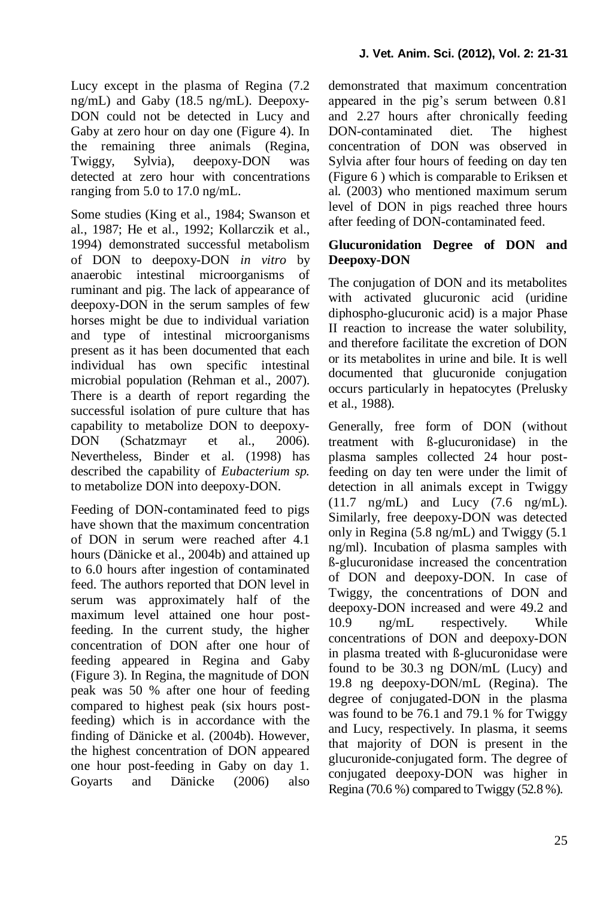Lucy except in the plasma of Regina (7.2 ng/mL) and Gaby (18.5 ng/mL). Deepoxy-DON could not be detected in Lucy and Gaby at zero hour on day one (Figure 4). In the remaining three animals (Regina, Twiggy, Sylvia), deepoxy-DON was detected at zero hour with concentrations ranging from 5.0 to 17.0 ng/mL.

Some studies (King et al., 1984; Swanson et al., 1987; He et al., 1992; Kollarczik et al., 1994) demonstrated successful metabolism of DON to deepoxy-DON *in vitro* by anaerobic intestinal microorganisms of ruminant and pig. The lack of appearance of deepoxy-DON in the serum samples of few horses might be due to individual variation and type of intestinal microorganisms present as it has been documented that each individual has own specific intestinal microbial population (Rehman et al., 2007). There is a dearth of report regarding the successful isolation of pure culture that has capability to metabolize DON to deepoxy-DON (Schatzmayr et al., 2006). Nevertheless, Binder et al. (1998) has described the capability of *Eubacterium sp.* to metabolize DON into deepoxy-DON.

Feeding of DON-contaminated feed to pigs have shown that the maximum concentration of DON in serum were reached after 4.1 hours (Dänicke et al., 2004b) and attained up to 6.0 hours after ingestion of contaminated feed. The authors reported that DON level in serum was approximately half of the maximum level attained one hour postfeeding. In the current study, the higher concentration of DON after one hour of feeding appeared in Regina and Gaby (Figure 3). In Regina, the magnitude of DON peak was 50 % after one hour of feeding compared to highest peak (six hours postfeeding) which is in accordance with the finding of Dänicke et al. (2004b). However, the highest concentration of DON appeared one hour post-feeding in Gaby on day 1. Goyarts and Dänicke (2006) also demonstrated that maximum concentration appeared in the pig's serum between 0.81 and 2.27 hours after chronically feeding DON-contaminated diet. The highest concentration of DON was observed in Sylvia after four hours of feeding on day ten (Figure 6 ) which is comparable to Eriksen et al*.* (2003) who mentioned maximum serum level of DON in pigs reached three hours after feeding of DON-contaminated feed.

### **Glucuronidation Degree of DON and Deepoxy-DON**

The conjugation of DON and its metabolites with activated glucuronic acid (uridine diphospho-glucuronic acid) is a major Phase II reaction to increase the water solubility, and therefore facilitate the excretion of DON or its metabolites in urine and bile. It is well documented that glucuronide conjugation occurs particularly in hepatocytes (Prelusky et al., 1988).

Generally, free form of DON (without treatment with ß-glucuronidase) in the plasma samples collected 24 hour postfeeding on day ten were under the limit of detection in all animals except in Twiggy (11.7 ng/mL) and Lucy (7.6 ng/mL). Similarly, free deepoxy-DON was detected only in Regina (5.8 ng/mL) and Twiggy (5.1 ng/ml). Incubation of plasma samples with ß-glucuronidase increased the concentration of DON and deepoxy-DON. In case of Twiggy, the concentrations of DON and deepoxy-DON increased and were 49.2 and 10.9 ng/mL respectively. While concentrations of DON and deepoxy-DON in plasma treated with ß-glucuronidase were found to be 30.3 ng DON/mL (Lucy) and 19.8 ng deepoxy-DON/mL (Regina). The degree of conjugated-DON in the plasma was found to be 76.1 and 79.1 % for Twiggy and Lucy, respectively. In plasma, it seems that majority of DON is present in the glucuronide-conjugated form. The degree of conjugated deepoxy-DON was higher in Regina (70.6 %) compared to Twiggy (52.8 %).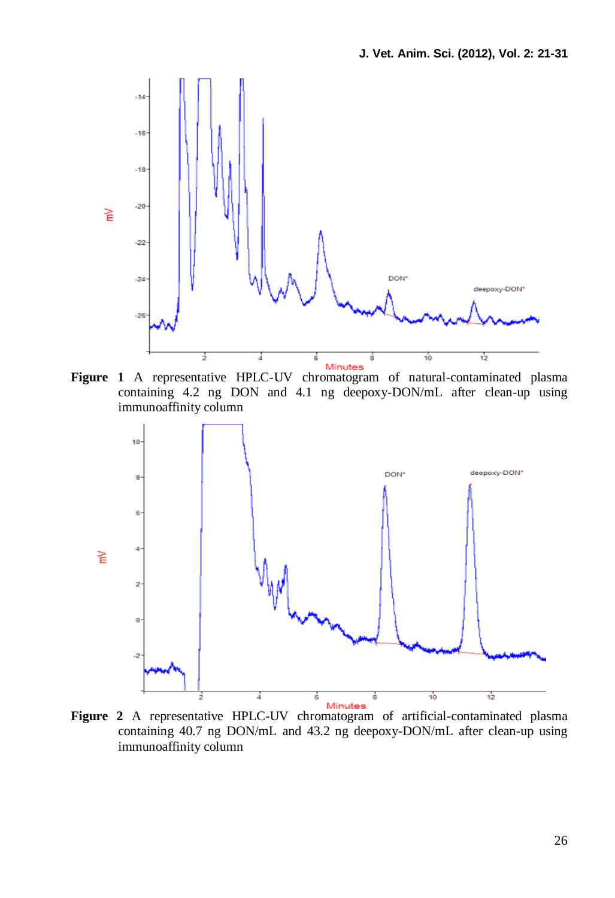

**Figure 1** A representative HPLC-UV chromatogram of natural-contaminated plasma containing 4.2 ng DON and 4.1 ng deepoxy-DON/mL after clean-up using immunoaffinity column



**Figure 2** A representative HPLC-UV chromatogram of artificial-contaminated plasma containing 40.7 ng DON/mL and 43.2 ng deepoxy-DON/mL after clean-up using immunoaffinity column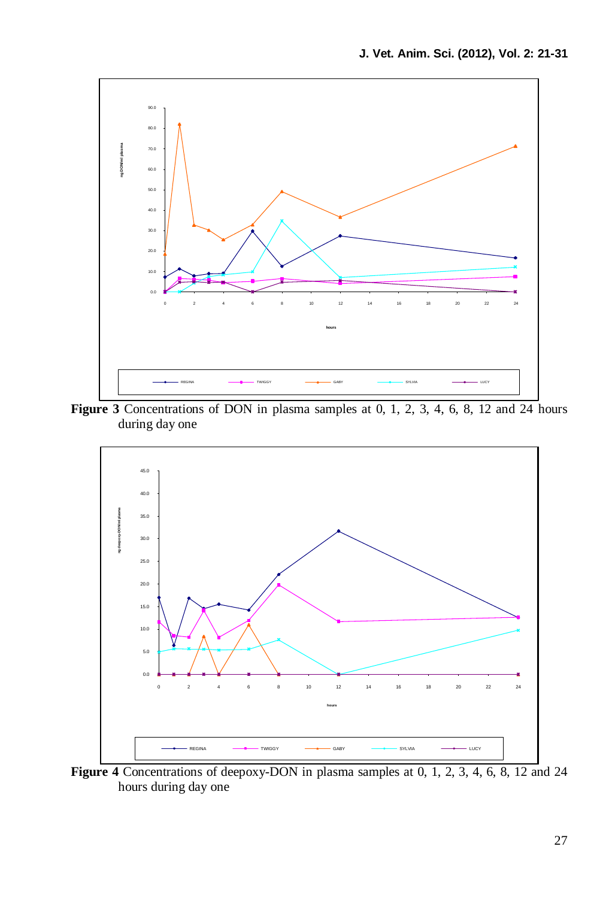

**Figure 3** Concentrations of DON in plasma samples at 0, 1, 2, 3, 4, 6, 8, 12 and 24 hours during day one



**Figure 4** Concentrations of deepoxy-DON in plasma samples at 0, 1, 2, 3, 4, 6, 8, 12 and 24 hours during day one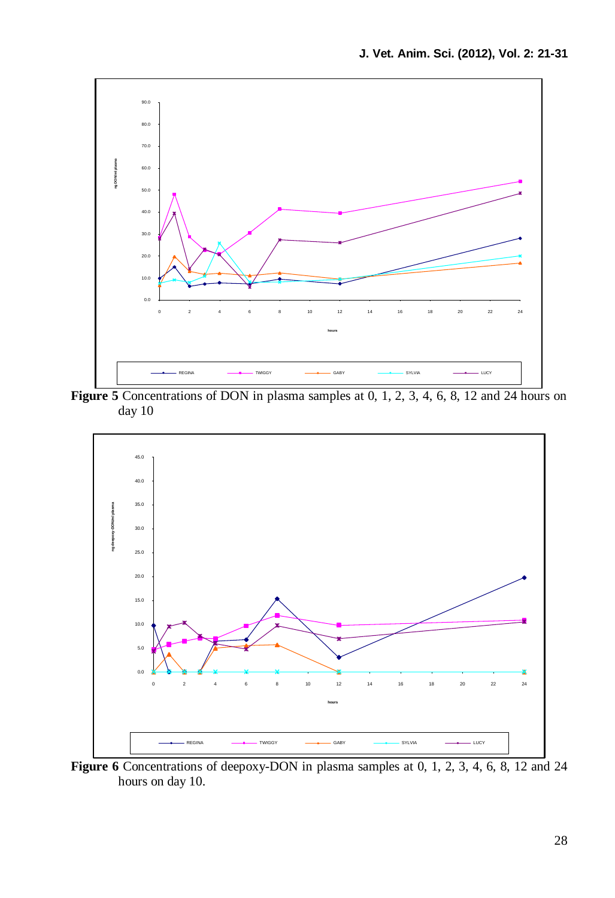

**Figure 5** Concentrations of DON in plasma samples at 0, 1, 2, 3, 4, 6, 8, 12 and 24 hours on day 10



**Figure 6** Concentrations of deepoxy-DON in plasma samples at 0, 1, 2, 3, 4, 6, 8, 12 and 24 hours on day 10.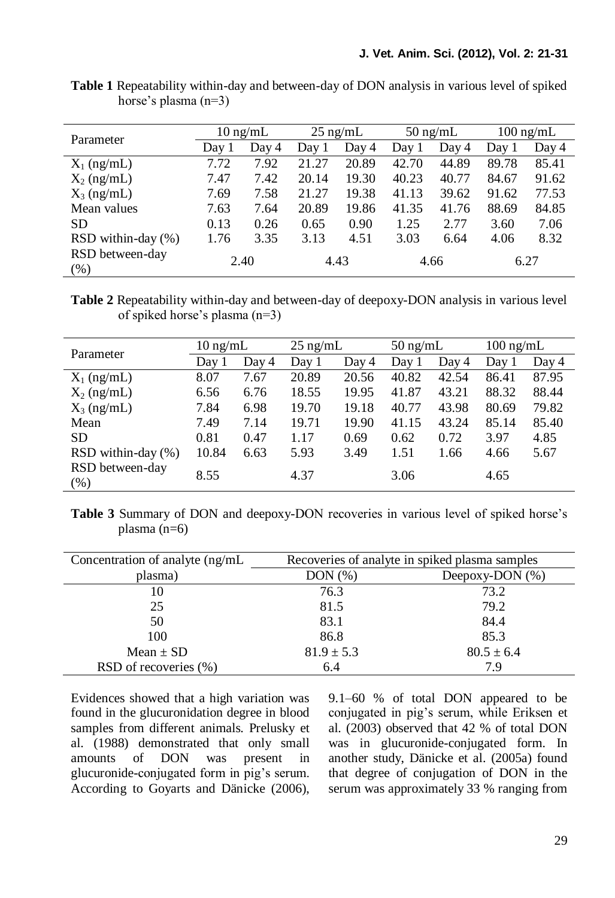| Parameter               | $10 \text{ ng/mL}$ |       | $25 \text{ ng/mL}$ |       | $50 \text{ ng/mL}$ |       | $100 \text{ ng/mL}$ |       |
|-------------------------|--------------------|-------|--------------------|-------|--------------------|-------|---------------------|-------|
|                         | Day 1              | Day 4 | Day 1              | Day 4 | Day 1              | Day 4 | Day 1               | Day 4 |
| $X_1$ (ng/mL)           | 7.72               | 7.92  | 21.27              | 20.89 | 42.70              | 44.89 | 89.78               | 85.41 |
| $X_2$ (ng/mL)           | 7.47               | 7.42  | 20.14              | 19.30 | 40.23              | 40.77 | 84.67               | 91.62 |
| $X_3$ (ng/mL)           | 7.69               | 7.58  | 21.27              | 19.38 | 41.13              | 39.62 | 91.62               | 77.53 |
| Mean values             | 7.63               | 7.64  | 20.89              | 19.86 | 41.35              | 41.76 | 88.69               | 84.85 |
| SD.                     | 0.13               | 0.26  | 0.65               | 0.90  | 1.25               | 2.77  | 3.60                | 7.06  |
| $RSD$ within-day $(\%)$ | 1.76               | 3.35  | 3.13               | 4.51  | 3.03               | 6.64  | 4.06                | 8.32  |
| RSD between-day<br>(% ) |                    | 2.40  |                    | 4.43  |                    | 4.66  |                     | 6.27  |

**Table 1** Repeatability within-day and between-day of DON analysis in various level of spiked horse's plasma (n=3)

**Table 2** Repeatability within-day and between-day of deepoxy-DON analysis in various level of spiked horse's plasma (n=3)

| Parameter                 | $10 \text{ ng/mL}$ |       | $25 \text{ ng/mL}$ |       | $50 \text{ ng/mL}$ |       | $100 \text{ ng/mL}$ |       |
|---------------------------|--------------------|-------|--------------------|-------|--------------------|-------|---------------------|-------|
|                           | Day 1              | Day 4 | Day 1              | Day 4 | Day 1              | Day 4 | Day 1               | Day 4 |
| $X_1$ (ng/mL)             | 8.07               | 7.67  | 20.89              | 20.56 | 40.82              | 42.54 | 86.41               | 87.95 |
| $X_2$ (ng/mL)             | 6.56               | 6.76  | 18.55              | 19.95 | 41.87              | 43.21 | 88.32               | 88.44 |
| $X_3$ (ng/mL)             | 7.84               | 6.98  | 19.70              | 19.18 | 40.77              | 43.98 | 80.69               | 79.82 |
| Mean                      | 7.49               | 7.14  | 19.71              | 19.90 | 41.15              | 43.24 | 85.14               | 85.40 |
| SD.                       | 0.81               | 0.47  | 1.17               | 0.69  | 0.62               | 0.72  | 3.97                | 4.85  |
| RSD within-day $(\% )$    | 10.84              | 6.63  | 5.93               | 3.49  | 1.51               | 1.66  | 4.66                | 5.67  |
| RSD between-day<br>$(\%)$ | 8.55               |       | 4.37               |       | 3.06               |       | 4.65                |       |

**Table 3** Summary of DON and deepoxy-DON recoveries in various level of spiked horse's plasma (n=6)

| Concentration of analyte (ng/mL) | Recoveries of analyte in spiked plasma samples |                 |  |  |  |
|----------------------------------|------------------------------------------------|-----------------|--|--|--|
| plasma)                          | DOM(%)                                         | Deepoxy-DON (%) |  |  |  |
| 10                               | 76.3                                           | 73.2            |  |  |  |
| 25                               | 81.5                                           | 79.2            |  |  |  |
| 50                               | 83.1                                           | 84.4            |  |  |  |
| 100                              | 86.8                                           | 85.3            |  |  |  |
| Mean $\pm$ SD                    | $81.9 \pm 5.3$                                 | $80.5 \pm 6.4$  |  |  |  |
| RSD of recoveries (%)            | 6.4                                            | 7.9             |  |  |  |

Evidences showed that a high variation was found in the glucuronidation degree in blood samples from different animals. Prelusky et al. (1988) demonstrated that only small of DON was present in glucuronide-conjugated form in pig's serum. According to Goyarts and Dänicke (2006), 9.1–60 % of total DON appeared to be conjugated in pig's serum, while Eriksen et al. (2003) observed that 42 % of total DON was in glucuronide-conjugated form. In another study, Dänicke et al. (2005a) found that degree of conjugation of DON in the serum was approximately 33 % ranging from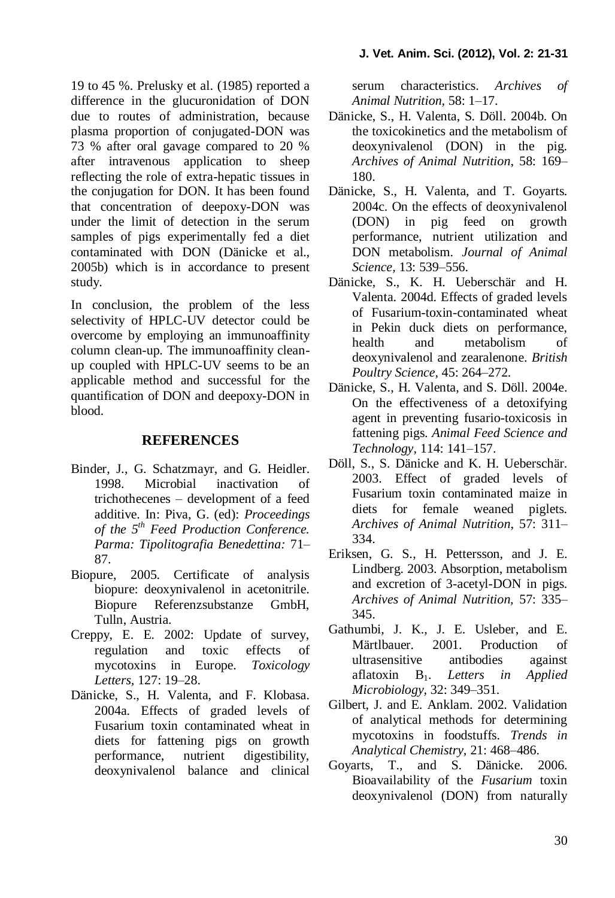19 to 45 %. Prelusky et al. (1985) reported a difference in the glucuronidation of DON due to routes of administration, because plasma proportion of conjugated-DON was 73 % after oral gavage compared to 20 % after intravenous application to sheep reflecting the role of extra-hepatic tissues in the conjugation for DON. It has been found that concentration of deepoxy-DON was under the limit of detection in the serum samples of pigs experimentally fed a diet contaminated with DON (Dänicke et al., 2005b) which is in accordance to present study.

In conclusion, the problem of the less selectivity of HPLC-UV detector could be overcome by employing an immunoaffinity column clean-up. The immunoaffinity cleanup coupled with HPLC-UV seems to be an applicable method and successful for the quantification of DON and deepoxy-DON in blood.

## **REFERENCES**

- Binder, J., G. Schatzmayr, and G. Heidler. 1998. Microbial inactivation of trichothecenes – development of a feed additive. In: Piva, G. (ed): *Proceedings of the 5th Feed Production Conference. Parma: Tipolitografia Benedettina:* 71– 87.
- Biopure, 2005. Certificate of analysis biopure: deoxynivalenol in acetonitrile. Biopure Referenzsubstanze GmbH, Tulln, Austria.
- Creppy, E. E. 2002: Update of survey, regulation and toxic effects of mycotoxins in Europe. *Toxicology Letters,* 127: 19–28.
- Dänicke, S., H. Valenta, and F. Klobasa. 2004a. Effects of graded levels of Fusarium toxin contaminated wheat in diets for fattening pigs on growth performance, nutrient digestibility, deoxynivalenol balance and clinical

serum characteristics. *Archives of Animal Nutrition,* 58: 1–17.

- Dänicke, S., H. Valenta, S. Döll. 2004b. On the toxicokinetics and the metabolism of deoxynivalenol (DON) in the pig. *Archives of Animal Nutrition*, 58: 169– 180.
- Dänicke, S., H. Valenta, and T. Goyarts. 2004c. On the effects of deoxynivalenol (DON) in pig feed on growth performance, nutrient utilization and DON metabolism. *Journal of Animal Science,* 13: 539–556.
- Dänicke, S., K. H. Ueberschär and H. Valenta. 2004d. Effects of graded levels of Fusarium-toxin-contaminated wheat in Pekin duck diets on performance, health and metabolism of deoxynivalenol and zearalenone. *British Poultry Science*, 45: 264–272.
- Dänicke, S., H. Valenta, and S. Döll. 2004e. On the effectiveness of a detoxifying agent in preventing fusario-toxicosis in fattening pigs. *Animal Feed Science and Technology,* 114: 141–157.
- Döll, S., S. Dänicke and K. H. Ueberschär. 2003. Effect of graded levels of Fusarium toxin contaminated maize in diets for female weaned piglets. *Archives of Animal Nutrition*, 57: 311– 334.
- Eriksen, G. S., H. Pettersson, and J. E. Lindberg. 2003. Absorption, metabolism and excretion of 3-acetyl-DON in pigs. *Archives of Animal Nutrition,* 57: 335– 345.
- Gathumbi, J. K., J. E. Usleber, and E. Märtlbauer. 2001. Production of ultrasensitive antibodies against aflatoxin B1. *Letters in Applied Microbiology,* 32: 349–351.
- Gilbert, J. and E. Anklam. 2002. Validation of analytical methods for determining mycotoxins in foodstuffs. *Trends in Analytical Chemistry,* 21: 468–486.
- Goyarts, T., and S. Dänicke. 2006. Bioavailability of the *Fusarium* toxin deoxynivalenol (DON) from naturally